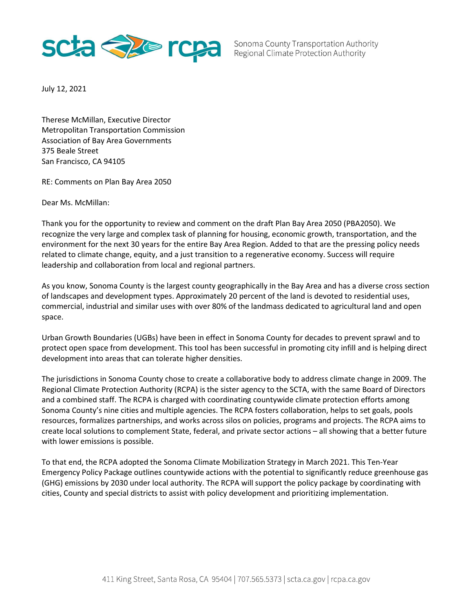

Sonoma County Transportation Authority Regional Climate Protection Authority

July 12, 2021

Therese McMillan, Executive Director Metropolitan Transportation Commission Association of Bay Area Governments 375 Beale Street San Francisco, CA 94105

RE: Comments on Plan Bay Area 2050

Dear Ms. McMillan:

Thank you for the opportunity to review and comment on the draft Plan Bay Area 2050 (PBA2050). We recognize the very large and complex task of planning for housing, economic growth, transportation, and the environment for the next 30 years for the entire Bay Area Region. Added to that are the pressing policy needs related to climate change, equity, and a just transition to a regenerative economy. Success will require leadership and collaboration from local and regional partners.

As you know, Sonoma County is the largest county geographically in the Bay Area and has a diverse cross section of landscapes and development types. Approximately 20 percent of the land is devoted to residential uses, commercial, industrial and similar uses with over 80% of the landmass dedicated to agricultural land and open space.

Urban Growth Boundaries (UGBs) have been in effect in Sonoma County for decades to prevent sprawl and to protect open space from development. This tool has been successful in promoting city infill and is helping direct development into areas that can tolerate higher densities.

The jurisdictions in Sonoma County chose to create a collaborative body to address climate change in 2009. The Regional Climate Protection Authority (RCPA) is the sister agency to the SCTA, with the same Board of Directors and a combined staff. The RCPA is charged with coordinating countywide climate protection efforts among Sonoma County's nine cities and multiple agencies. The RCPA fosters collaboration, helps to set goals, pools resources, formalizes partnerships, and works across silos on policies, programs and projects. The RCPA aims to create local solutions to complement State, federal, and private sector actions – all showing that a better future with lower emissions is possible.

To that end, the RCPA adopted the Sonoma Climate Mobilization Strategy in March 2021. This Ten-Year Emergency Policy Package outlines countywide actions with the potential to significantly reduce greenhouse gas (GHG) emissions by 2030 under local authority. The RCPA will support the policy package by coordinating with cities, County and special districts to assist with policy development and prioritizing implementation.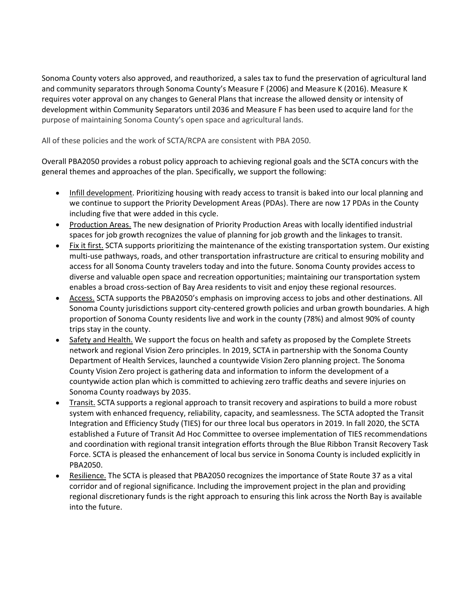Sonoma County voters also approved, and reauthorized, a sales tax to fund the preservation of agricultural land and community separators through Sonoma County's Measure F (2006) and Measure K (2016). Measure K requires voter approval on any changes to General Plans that increase the allowed density or intensity of development within Community Separators until 2036 and Measure F has been used to acquire land for the purpose of maintaining Sonoma County's open space and agricultural lands.

All of these policies and the work of SCTA/RCPA are consistent with PBA 2050.

Overall PBA2050 provides a robust policy approach to achieving regional goals and the SCTA concurs with the general themes and approaches of the plan. Specifically, we support the following:

- $\bullet$ Infill development. Prioritizing housing with ready access to transit is baked into our local planning and we continue to support the Priority Development Areas (PDAs). There are now 17 PDAs in the County including five that were added in this cycle.
- Production Areas. The new designation of Priority Production Areas with locally identified industrial spaces for job growth recognizes the value of planning for job growth and the linkages to transit.
- Fix it first. SCTA supports prioritizing the maintenance of the existing transportation system. Our existing multi-use pathways, roads, and other transportation infrastructure are critical to ensuring mobility and access for all Sonoma County travelers today and into the future. Sonoma County provides access to diverse and valuable open space and recreation opportunities; maintaining our transportation system enables a broad cross-section of Bay Area residents to visit and enjoy these regional resources.
- Access. SCTA supports the PBA2050's emphasis on improving access to jobs and other destinations. All Sonoma County jurisdictions support city-centered growth policies and urban growth boundaries. A high proportion of Sonoma County residents live and work in the county (78%) and almost 90% of county trips stay in the county.
- Safety and Health. We support the focus on health and safety as proposed by the Complete Streets network and regional Vision Zero principles. In 2019, SCTA in partnership with the Sonoma County Department of Health Services, launched a countywide Vision Zero planning project. The Sonoma County Vision Zero project is gathering data and information to inform the development of a countywide action plan which is committed to achieving zero traffic deaths and severe injuries on Sonoma County roadways by 2035.
- Transit. SCTA supports a regional approach to transit recovery and aspirations to build a more robust system with enhanced frequency, reliability, capacity, and seamlessness. The SCTA adopted the Transit Integration and Efficiency Study (TIES) for our three local bus operators in 2019. In fall 2020, the SCTA established a Future of Transit Ad Hoc Committee to oversee implementation of TIES recommendations and coordination with regional transit integration efforts through the Blue Ribbon Transit Recovery Task Force. SCTA is pleased the enhancement of local bus service in Sonoma County is included explicitly in PBA2050.
- Resilience. The SCTA is pleased that PBA2050 recognizes the importance of State Route 37 as a vital corridor and of regional significance. Including the improvement project in the plan and providing regional discretionary funds is the right approach to ensuring this link across the North Bay is available into the future.